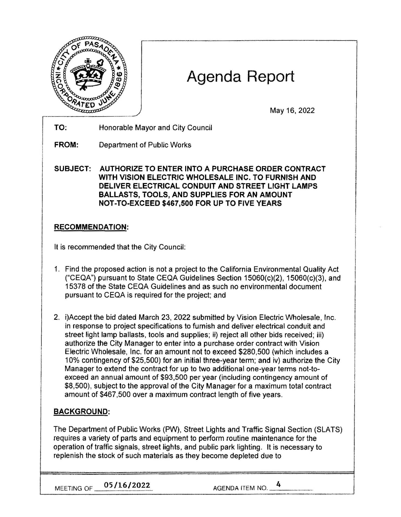

# Agenda Report

May 16, 2022

**TO:** Honorable Mayor and City Council

**FROM:** Department of Public Works

**SUBJECT: AUTHORIZE TO ENTER INTO A PURCHASE ORDER CONTRACT WITH VISION ELECTRIC WHOLESALE INC. TO FURNISH AND DELIVER ELECTRICAL CONDUIT AND STREET LIGHT LAMPS BALLASTS, TOOLS, AND SUPPLIES FOR AN AMOUNT NOT-TO-EXCEED \$467,500 FOR UP TO FIVE YEARS** 

## **RECOMMENDATION:**

It is recommended that the City Council:

- 1. Find the proposed action is not a project to the California Environmental Quality Act ("CEQA") pursuant to State CEQA Guidelines Section 15060(c)(2), 15060(c)(3), and 15378 of the State CEQA Guidelines and as such no environmental document pursuant to CEQA is required for the project; and
- 2. i)Accept the bid dated March 23, 2022 submitted by Vision Electric Wholesale, Inc. in response to project specifications to furnish and deliver electrical conduit and street light lamp ballasts, tools and supplies; ii) reject all other bids received; iii) authorize the City Manager to enter into a purchase order contract with Vision Electric Wholesale, Inc. for an amount not to exceed \$280,500 (which includes a 10% contingency of \$25,500) for an initial three-year term; and iv) authorize the City Manager to extend the contract for up to two additional one-year terms not-toexceed an annual amount of \$93,500 per year (including contingency amount of \$8,500), subject to the approval of the City Manager for a maximum total contract amount of \$467,500 over a maximum contract length of five years.

## **BACKGROUND:**

The Department of Public Works (PW), Street Lights and Traffic Signal Section (SLATS) requires a variety of parts and equipment to perform routine maintenance for the operation of traffic signals, street lights, and public park lighting. It is necessary to replenish the stock of such materials as they become depleted due to

MEETING OF **05/16/2022** AGENDA ITEM NO. 4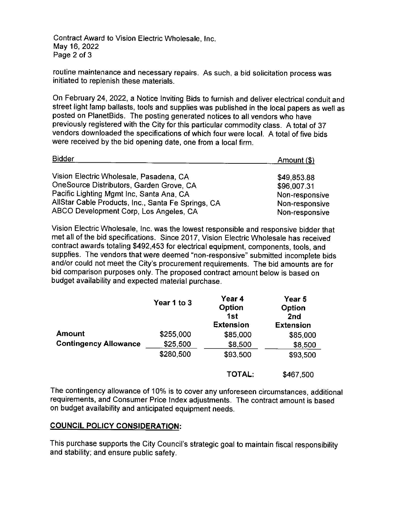Contract Award to Vision Electric Wholesale, Inc. May 16, 2022 Page 2 of 3

routine maintenance and necessary repairs. As such, a bid solicitation process was initiated to replenish these materials.

On February 24, 2022, a Notice Inviting Bids to furnish and deliver electrical conduit and street light lamp ballasts, tools and supplies was published in the local papers as well as posted on PlanetBids. The posting generated notices to all vendors who have previously registered with the City for this particular commodity class. A total of 37 vendors downloaded the specifications of which four were local. A total of five bids were received by the bid opening date, one from a local firm.

| <b>Bidder</b>                                      | Amount (\$)    |  |
|----------------------------------------------------|----------------|--|
| Vision Electric Wholesale, Pasadena, CA            | \$49,853.88    |  |
| OneSource Distributors, Garden Grove, CA           | \$96,007.31    |  |
| Pacific Lighting Mgmt Inc, Santa Ana, CA           | Non-responsive |  |
| AllStar Cable Products, Inc., Santa Fe Springs, CA | Non-responsive |  |
| ABCO Development Corp, Los Angeles, CA             | Non-responsive |  |

Vision Electric Wholesale, Inc. was the lowest responsible and responsive bidder that met all of the bid specifications. Since 2017, Vision Electric Wholesale has received contract awards totaling \$492,453 for electrical equipment, components, tools, and supplies. The vendors that were deemed "non-responsive" submitted incomplete bids and/or could not meet the City's procurement requirements. The bid amounts are for bid comparison purposes only. The proposed contract amount below is based on budget availability and expected material purchase.

|                              | Year 1 to 3 | Year 4<br>Option<br>1st<br><b>Extension</b> | Year 5<br>Option<br>2 <sub>nd</sub><br><b>Extension</b> |
|------------------------------|-------------|---------------------------------------------|---------------------------------------------------------|
| <b>Amount</b>                | \$255,000   | \$85,000                                    | \$85,000                                                |
| <b>Contingency Allowance</b> | \$25,500    | \$8,500                                     | \$8,500                                                 |
|                              | \$280,500   | \$93,500                                    | \$93,500                                                |
|                              |             | TOTAL:                                      | \$467,500                                               |

The contingency allowance of 10% is to cover any unforeseen circumstances, additional requirements, and Consumer Price Index adjustments. The contract amount is based on budget availability and anticipated equipment needs.

#### **COUNCIL POLICY CONSIDERATION:**

This purchase supports the City Council's strategic goal to maintain fiscal responsibility and stability; and ensure public safety.